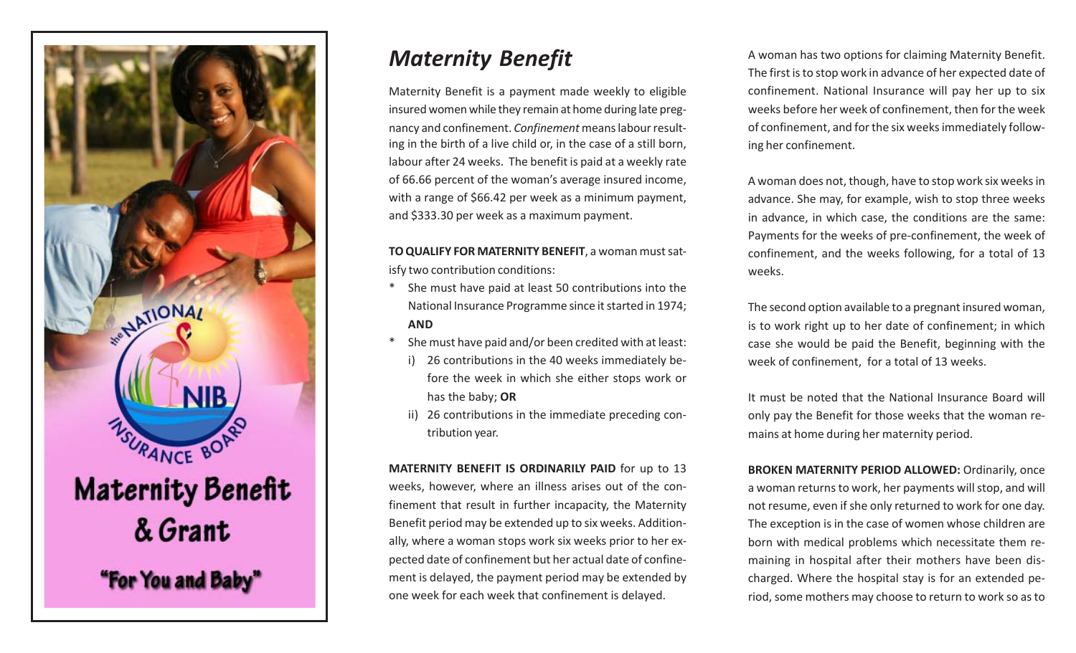

# *Maternity Benefit*

Maternity Benefit is a payment made weekly to eligible insured women while they remain at home during late pregnancy and confinement. *Confinement* means labour resulting in the birth of a live child or, in the case of a still born, labour after 24 weeks. The benefit is paid at a weekly rate of 66.66 percent of the woman's average insured income, with a range of \$66.42 per week as a minimum payment, and \$333.30 per week as a maximum payment.

**TO QUALIFY FOR MATERNITY BENEFIT**, a woman must satisfy two contribution conditions:

- \* She must have paid at least 50 contributions into the National Insurance Programme since it started in 1974; **AND**
- \* She must have paid and/or been credited with at least:
	- i) 26 contributions in the 40 weeks immediately before the week in which she either stops work or has the baby; **OR**
	- ii) 26 contributions in the immediate preceding contribution year.

**MATERNITY BENEFIT IS ORDINARILY PAID** for up to 13 weeks, however, where an illness arises out of the confinement that result in further incapacity, the Maternity Benefit period may be extended up to six weeks. Additionally, where a woman stops work six weeks prior to her expected date of confinement but her actual date of confinement is delayed, the payment period may be extended by one week for each week that confinement is delayed.

A woman has two options for claiming Maternity Benefit. The first is to stop work in advance of her expected date of confinement. National Insurance will pay her up to six weeks before her week of confinement, then for the week of confinement, and for the six weeks immediately following her confinement.

A woman does not, though, have to stop work six weeks in advance. She may, for example, wish to stop three weeks in advance, in which case, the conditions are the same: Payments for the weeks of pre-confinement, the week of confinement, and the weeks following, for a total of 13 weeks.

The second option available to a pregnant insured woman, is to work right up to her date of confinement; in which case she would be paid the Benefit, beginning with the week of confinement, for a total of 13 weeks.

It must be noted that the National Insurance Board will only pay the Benefit for those weeks that the woman remains at home during her maternity period.

**BROKEN MATERNITY PERIOD ALLOWED: Ordinarily, once** a woman returns to work, her payments will stop, and will not resume, even if she only returned to work for one day. The exception is in the case of women whose children are born with medical problems which necessitate them remaining in hospital after their mothers have been discharged. Where the hospital stay is for an extended period, some mothers may choose to return to work so as to